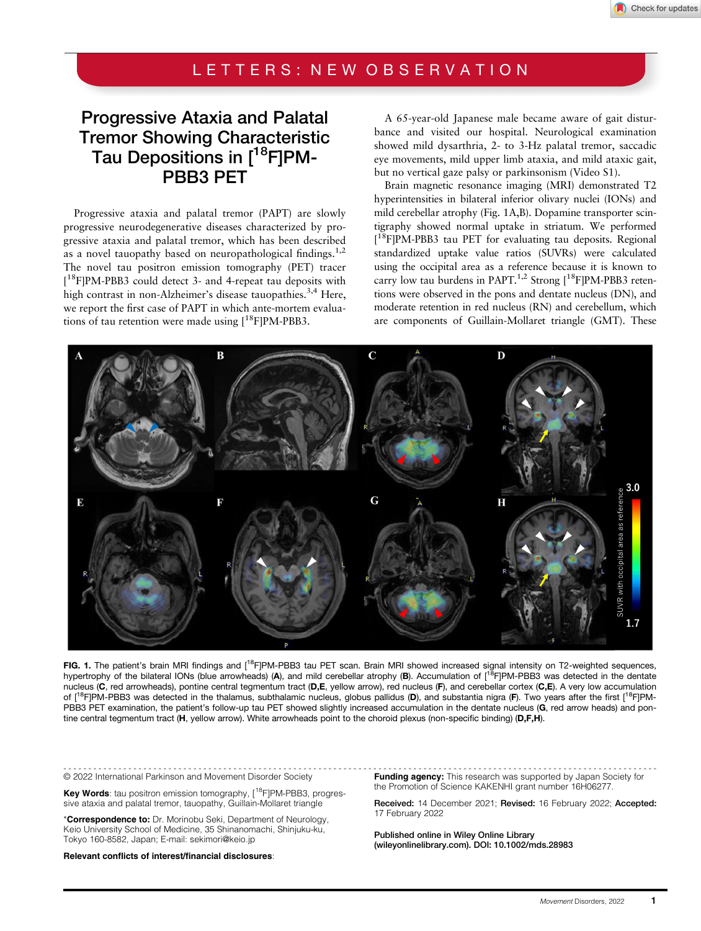#### LETTERS: NEW OBSERVATION

# Progressive Ataxia and Palatal Tremor Showing Characteristic Tau Depositions in  $[18$ FIPM-PBB3 PET

Progressive ataxia and palatal tremor (PAPT) are slowly progressive neurodegenerative diseases characterized by progressive ataxia and palatal tremor, which has been described as a novel tauopathy based on neuropathological findings.<sup>1,2</sup> The novel tau positron emission tomography (PET) tracer [ 18F]PM-PBB3 could detect 3- and 4-repeat tau deposits with high contrast in non-Alzheimer's disease tauopathies.<sup>3,4</sup> Here, we report the first case of PAPT in which ante-mortem evaluations of tau retention were made using  $[18F]PM-PBB3$ .

A 65-year-old Japanese male became aware of gait disturbance and visited our hospital. Neurological examination showed mild dysarthria, 2- to 3-Hz palatal tremor, saccadic eye movements, mild upper limb ataxia, and mild ataxic gait, but no vertical gaze palsy or parkinsonism (Video S1).

Brain magnetic resonance imaging (MRI) demonstrated T2 hyperintensities in bilateral inferior olivary nuclei (IONs) and mild cerebellar atrophy (Fig. 1A,B). Dopamine transporter scintigraphy showed normal uptake in striatum. We performed [ 18F]PM-PBB3 tau PET for evaluating tau deposits. Regional standardized uptake value ratios (SUVRs) were calculated using the occipital area as a reference because it is known to carry low tau burdens in PAPT.<sup>1,2</sup> Strong  $[$ <sup>18</sup>F]PM-PBB3 retentions were observed in the pons and dentate nucleus (DN), and moderate retention in red nucleus (RN) and cerebellum, which are components of Guillain-Mollaret triangle (GMT). These



FIG. 1. The patient's brain MRI findings and [<sup>18</sup>F]PM-PBB3 tau PET scan. Brain MRI showed increased signal intensity on T2-weighted sequences, hypertrophy of the bilateral IONs (blue arrowheads) (A), and mild cerebellar atrophy (B). Accumulation of [<sup>18</sup>F]PM-PBB3 was detected in the dentate nucleus (C, red arrowheads), pontine central tegmentum tract (D,E, yellow arrow), red nucleus (F), and cerebellar cortex (C,E). A very low accumulation of [<sup>18</sup>F]PM-PBB3 was detected in the thalamus, subthalamic nucleus, globus pallidus (D), and substantia nigra (F). Two years after the first [<sup>18</sup>F]PM-PBB3 PET examination, the patient's follow-up tau PET showed slightly increased accumulation in the dentate nucleus (G, red arrow heads) and pontine central tegmentum tract (H, yellow arrow). White arrowheads point to the choroid plexus (non-specific binding) (D,F,H).

© 2022 International Parkinson and Movement Disorder Society

Key Words: tau positron emission tomography, [<sup>18</sup>F]PM-PBB3, progressive ataxia and palatal tremor, tauopathy, Guillain-Mollaret triangle

\*Correspondence to: Dr. Morinobu Seki, Department of Neurology, Keio University School of Medicine, 35 Shinanomachi, Shinjuku-ku, Tokyo 160-8582, Japan; E-mail: [sekimori@keio.jp](mailto:sekimori@keio.jp)

Relevant conflicts of interest/financial disclosures:

----------------------------------------------------------------------------------------------------------------------- Funding agency: This research was supported by Japan Society for the Promotion of Science KAKENHI grant number 16H06277.

> Received: 14 December 2021; Revised: 16 February 2022; Accepted: 17 February 2022

Published online in Wiley Online Library [\(wileyonlinelibrary.com](http://wileyonlinelibrary.com)). DOI: 10.1002/mds.28983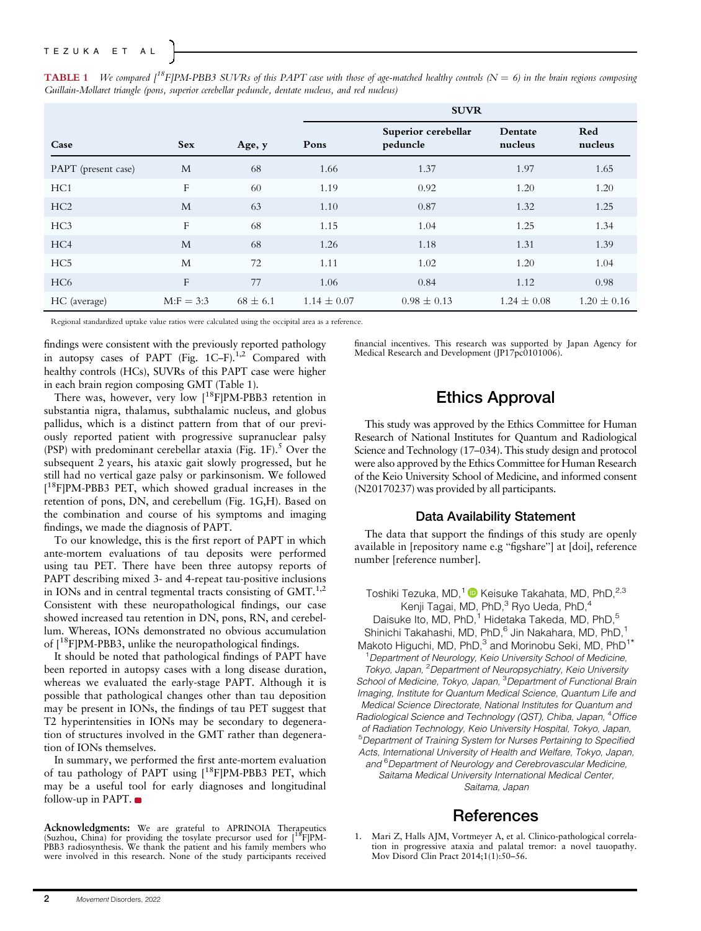|                     |              |              | <b>SUVR</b>     |                                 |                    |                 |
|---------------------|--------------|--------------|-----------------|---------------------------------|--------------------|-----------------|
| Case                | <b>Sex</b>   | Age, y       | Pons            | Superior cerebellar<br>peduncle | Dentate<br>nucleus | Red<br>nucleus  |
| PAPT (present case) | M            | 68           | 1.66            | 1.37                            | 1.97               | 1.65            |
| HC <sub>1</sub>     | F            | 60           | 1.19            | 0.92                            | 1.20               | 1.20            |
| HC2                 | M            | 63           | 1.10            | 0.87                            | 1.32               | 1.25            |
| HC <sub>3</sub>     | F            | 68           | 1.15            | 1.04                            | 1.25               | 1.34            |
| HC <sub>4</sub>     | M            | 68           | 1.26            | 1.18                            | 1.31               | 1.39            |
| HC <sub>5</sub>     | M            | 72           | 1.11            | 1.02                            | 1.20               | 1.04            |
| HC <sub>6</sub>     | F            | 77           | 1.06            | 0.84                            | 1.12               | 0.98            |
| HC (average)        | $M: F = 3:3$ | $68 \pm 6.1$ | $1.14 \pm 0.07$ | $0.98 \pm 0.13$                 | $1.24 \pm 0.08$    | $1.20 \pm 0.16$ |

**TABLE 1** We compared  $\int^{18}F[PM-PBB3 SUVRs$  of this PAPT case with those of age-matched healthy controls ( $N = 6$ ) in the brain regions composing Guillain-Mollaret triangle (pons, superior cerebellar peduncle, dentate nucleus, and red nucleus)

Regional standardized uptake value ratios were calculated using the occipital area as a reference.

findings were consistent with the previously reported pathology in autopsy cases of PAPT (Fig.  $1C-F$ ).<sup>1,2</sup> Compared with healthy controls (HCs), SUVRs of this PAPT case were higher in each brain region composing GMT (Table 1).

There was, however, very low [<sup>18</sup>F]PM-PBB3 retention in substantia nigra, thalamus, subthalamic nucleus, and globus pallidus, which is a distinct pattern from that of our previously reported patient with progressive supranuclear palsy (PSP) with predominant cerebellar ataxia (Fig. 1F).<sup>5</sup> Over the subsequent 2 years, his ataxic gait slowly progressed, but he still had no vertical gaze palsy or parkinsonism. We followed [ 18F]PM-PBB3 PET, which showed gradual increases in the retention of pons, DN, and cerebellum (Fig. 1G,H). Based on the combination and course of his symptoms and imaging findings, we made the diagnosis of PAPT.

To our knowledge, this is the first report of PAPT in which ante-mortem evaluations of tau deposits were performed using tau PET. There have been three autopsy reports of PAPT describing mixed 3- and 4-repeat tau-positive inclusions in IONs and in central tegmental tracts consisting of  $GMT<sup>1,2</sup>$ Consistent with these neuropathological findings, our case showed increased tau retention in DN, pons, RN, and cerebellum. Whereas, IONs demonstrated no obvious accumulation of  $[18F]PM-PBB3$ , unlike the neuropathological findings.

It should be noted that pathological findings of PAPT have been reported in autopsy cases with a long disease duration, whereas we evaluated the early-stage PAPT. Although it is possible that pathological changes other than tau deposition may be present in IONs, the findings of tau PET suggest that T2 hyperintensities in IONs may be secondary to degeneration of structures involved in the GMT rather than degeneration of IONs themselves.

In summary, we performed the first ante-mortem evaluation of tau pathology of PAPT using  $[18F]PM-PBB3$  PET, which may be a useful tool for early diagnoses and longitudinal follow-up in PAPT.

Acknowledgments: We are grateful to APRINOIA Therapeutics<br>(Suzhou, China) for providing the tosylate precursor used for [<sup>18</sup>F]PM-PBB3 radiosynthesis. We thank the patient and his family members who were involved in this research. None of the study participants received financial incentives. This research was supported by Japan Agency for Medical Research and Development (JP17pc0101006).

### Ethics Approval

This study was approved by the Ethics Committee for Human Research of National Institutes for Quantum and Radiological Science and Technology (17–034). This study design and protocol were also approved by the Ethics Committee for Human Research of the Keio University School of Medicine, and informed consent (N20170237) was provided by all participants.

#### Data Availability Statement

The data that support the findings of this study are openly available in [repository name e.g "figshare"] at [doi], reference number [reference number].

Toshiki Tezuka, MD,<sup>1</sup> Neisuke Takahata, MD, PhD,<sup>2,3</sup> Kenji Tagai, MD, PhD,<sup>3</sup> Ryo Ueda, PhD,<sup>4</sup> Daisuke Ito, MD, PhD,<sup>1</sup> Hidetaka Takeda, MD, PhD,<sup>5</sup> Shinichi Takahashi, MD, PhD,<sup>6</sup> Jin Nakahara, MD, PhD,<sup>1</sup> Makoto Higuchi, MD, PhD,<sup>3</sup> and Morinobu Seki, MD, PhD<sup>1</sup> <sup>1</sup> Department of Neurology, Keio University School of Medicine, Tokyo, Japan, <sup>2</sup> Department of Neuropsychiatry, Keio University School of Medicine, Tokyo, Japan, <sup>3</sup>Department of Functional Brain Imaging, Institute for Quantum Medical Science, Quantum Life and Medical Science Directorate, National Institutes for Quantum and Radiological Science and Technology (QST), Chiba, Japan, <sup>4</sup>Office of Radiation Technology, Keio University Hospital, Tokyo, Japan, <sup>5</sup>Department of Training System for Nurses Pertaining to Specified Acts, International University of Health and Welfare, Tokyo, Japan, and <sup>6</sup>Department of Neurology and Cerebrovascular Medicine, Saitama Medical University International Medical Center, Saitama, Japan

#### References

1. Mari Z, Halls AJM, Vortmeyer A, et al. Clinico-pathological correlation in progressive ataxia and palatal tremor: a novel tauopathy. Mov Disord Clin Pract 2014;1(1):50–56.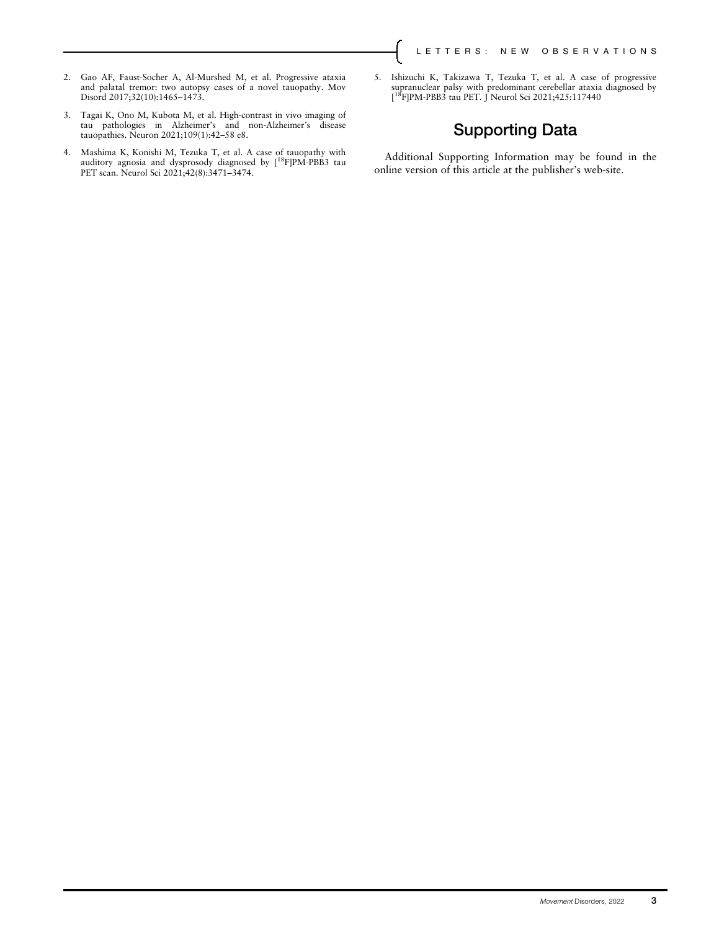- 2. Gao AF, Faust-Socher A, Al-Murshed M, et al. Progressive ataxia and palatal tremor: two autopsy cases of a novel tauopathy. Mov Disord 2017;32(10):1465–1473.
- 3. Tagai K, Ono M, Kubota M, et al. High-contrast in vivo imaging of tau pathologies in Alzheimer's and non-Alzheimer's disease tauopathies. Neuron 2021;109(1):42–58 e8.
- 4. Mashima K, Konishi M, Tezuka T, et al. A case of tauopathy with auditory agnosia and dysprosody diagnosed by  $[^{18}F]PM-PBBS$  tau PET scan. Neurol Sci 2021;42(8):3471–3474.
- 5. Ishizuchi K, Takizawa T, Tezuka T, et al. A case of progressive supranuclear palsy with predominant cerebellar ataxia diagnosed by [<sup>18</sup>F]PM-PBB3 tau PET. J Neurol Sci 2021;425:117440

## Supporting Data

Additional Supporting Information may be found in the online version of this article at the publisher's web-site.